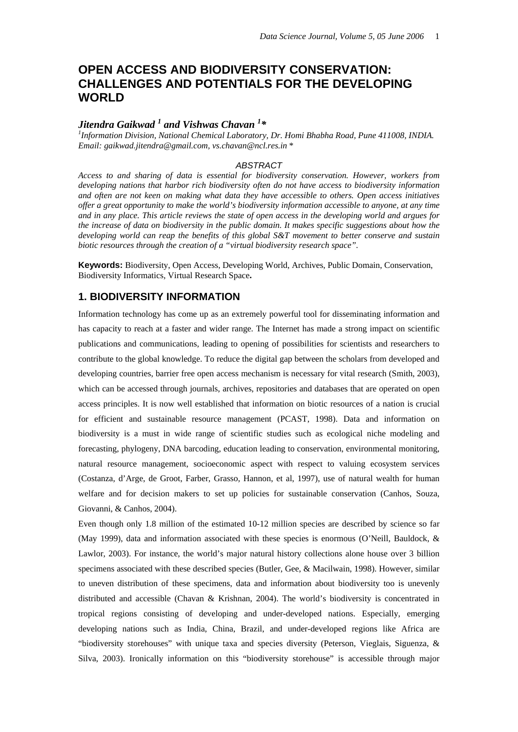## **OPEN ACCESS AND BIODIVERSITY CONSERVATION: CHALLENGES AND POTENTIALS FOR THE DEVELOPING WORLD**

# *Jitendra Gaikwad <sup>1</sup> and Vishwas Chavan <sup>1</sup> \* <sup>1</sup>*

*Information Division, National Chemical Laboratory, Dr. Homi Bhabha Road, Pune 411008, INDIA. Email: gaikwad.jitendra@gmail.com, vs.chavan@ncl.res.in* \*

#### *ABSTRACT*

*Access to and sharing of data is essential for biodiversity conservation. However, workers from developing nations that harbor rich biodiversity often do not have access to biodiversity information and often are not keen on making what data they have accessible to others. Open access initiatives offer a great opportunity to make the world's biodiversity information accessible to anyone, at any time and in any place. This article reviews the state of open access in the developing world and argues for the increase of data on biodiversity in the public domain. It makes specific suggestions about how the developing world can reap the benefits of this global S&T movement to better conserve and sustain biotic resources through the creation of a "virtual biodiversity research space".* 

**Keywords:** Biodiversity, Open Access, Developing World, Archives, Public Domain, Conservation, Biodiversity Informatics, Virtual Research Space**.** 

#### **1. BIODIVERSITY INFORMATION**

Information technology has come up as an extremely powerful tool for disseminating information and has capacity to reach at a faster and wider range. The Internet has made a strong impact on scientific publications and communications, leading to opening of possibilities for scientists and researchers to contribute to the global knowledge. To reduce the digital gap between the scholars from developed and developing countries, barrier free open access mechanism is necessary for vital research (Smith, 2003), which can be accessed through journals, archives, repositories and databases that are operated on open access principles. It is now well established that information on biotic resources of a nation is crucial for efficient and sustainable resource management (PCAST, 1998). Data and information on biodiversity is a must in wide range of scientific studies such as ecological niche modeling and forecasting, phylogeny, DNA barcoding, education leading to conservation, environmental monitoring, natural resource management, socioeconomic aspect with respect to valuing ecosystem services (Costanza, d'Arge, de Groot, Farber, Grasso, Hannon, et al, 1997), use of natural wealth for human welfare and for decision makers to set up policies for sustainable conservation (Canhos, Souza, Giovanni, & Canhos, 2004).

Even though only 1.8 million of the estimated 10-12 million species are described by science so far (May 1999), data and information associated with these species is enormous (O'Neill, Bauldock, & Lawlor, 2003). For instance, the world's major natural history collections alone house over 3 billion specimens associated with these described species (Butler, Gee, & Macilwain, 1998). However, similar to uneven distribution of these specimens, data and information about biodiversity too is unevenly distributed and accessible (Chavan & Krishnan, 2004). The world's biodiversity is concentrated in tropical regions consisting of developing and under-developed nations. Especially, emerging developing nations such as India, China, Brazil, and under-developed regions like Africa are "biodiversity storehouses" with unique taxa and species diversity (Peterson, Vieglais, Siguenza, & Silva, 2003). Ironically information on this "biodiversity storehouse" is accessible through major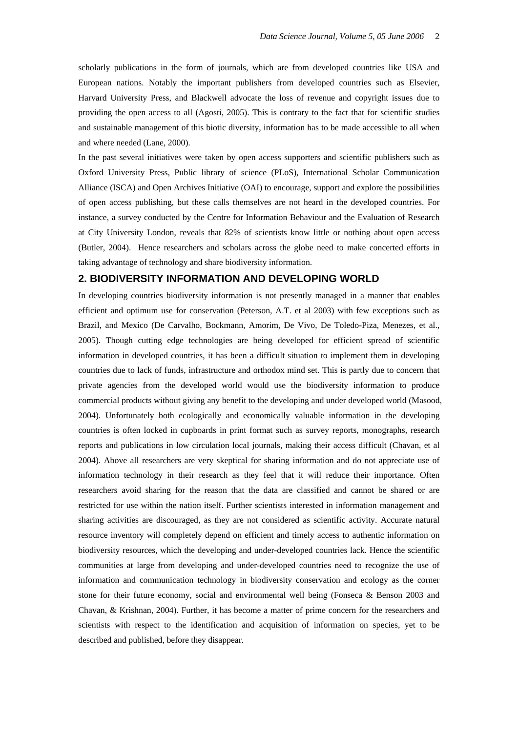scholarly publications in the form of journals, which are from developed countries like USA and European nations. Notably the important publishers from developed countries such as Elsevier, Harvard University Press, and Blackwell advocate the loss of revenue and copyright issues due to providing the open access to all (Agosti, 2005). This is contrary to the fact that for scientific studies and sustainable management of this biotic diversity, information has to be made accessible to all when and where needed (Lane, 2000).

In the past several initiatives were taken by open access supporters and scientific publishers such as Oxford University Press, Public library of science (PLoS), International Scholar Communication Alliance (ISCA) and Open Archives Initiative (OAI) to encourage, support and explore the possibilities of open access publishing, but these calls themselves are not heard in the developed countries. For instance, a survey conducted by the Centre for Information Behaviour and the Evaluation of Research at City University London, reveals that 82% of scientists know little or nothing about open access (Butler, 2004). Hence researchers and scholars across the globe need to make concerted efforts in taking advantage of technology and share biodiversity information.

### **2. BIODIVERSITY INFORMATION AND DEVELOPING WORLD**

In developing countries biodiversity information is not presently managed in a manner that enables efficient and optimum use for conservation (Peterson, A.T. et al 2003) with few exceptions such as Brazil, and Mexico (De Carvalho, Bockmann, Amorim, De Vivo, De Toledo-Piza, Menezes, et al., 2005). Though cutting edge technologies are being developed for efficient spread of scientific information in developed countries, it has been a difficult situation to implement them in developing countries due to lack of funds, infrastructure and orthodox mind set. This is partly due to concern that private agencies from the developed world would use the biodiversity information to produce commercial products without giving any benefit to the developing and under developed world (Masood, 2004). Unfortunately both ecologically and economically valuable information in the developing countries is often locked in cupboards in print format such as survey reports, monographs, research reports and publications in low circulation local journals, making their access difficult (Chavan, et al 2004). Above all researchers are very skeptical for sharing information and do not appreciate use of information technology in their research as they feel that it will reduce their importance. Often researchers avoid sharing for the reason that the data are classified and cannot be shared or are restricted for use within the nation itself. Further scientists interested in information management and sharing activities are discouraged, as they are not considered as scientific activity. Accurate natural resource inventory will completely depend on efficient and timely access to authentic information on biodiversity resources, which the developing and under-developed countries lack. Hence the scientific communities at large from developing and under-developed countries need to recognize the use of information and communication technology in biodiversity conservation and ecology as the corner stone for their future economy, social and environmental well being (Fonseca & Benson 2003 and Chavan, & Krishnan, 2004). Further, it has become a matter of prime concern for the researchers and scientists with respect to the identification and acquisition of information on species, yet to be described and published, before they disappear.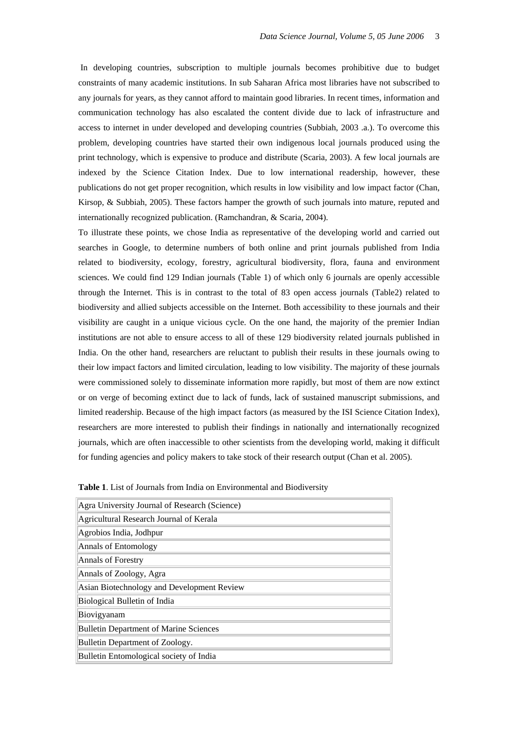In developing countries, subscription to multiple journals becomes prohibitive due to budget constraints of many academic institutions. In sub Saharan Africa most libraries have not subscribed to any journals for years, as they cannot afford to maintain good libraries. In recent times, information and communication technology has also escalated the content divide due to lack of infrastructure and access to internet in under developed and developing countries (Subbiah, 2003 .a.). To overcome this problem, developing countries have started their own indigenous local journals produced using the print technology, which is expensive to produce and distribute (Scaria, 2003). A few local journals are indexed by the Science Citation Index. Due to low international readership, however, these publications do not get proper recognition, which results in low visibility and low impact factor (Chan, Kirsop, & Subbiah, 2005). These factors hamper the growth of such journals into mature, reputed and internationally recognized publication. (Ramchandran, & Scaria, 2004).

To illustrate these points, we chose India as representative of the developing world and carried out searches in Google, to determine numbers of both online and print journals published from India related to biodiversity, ecology, forestry, agricultural biodiversity, flora, fauna and environment sciences. We could find 129 Indian journals (Table 1) of which only 6 journals are openly accessible through the Internet. This is in contrast to the total of 83 open access journals (Table2) related to biodiversity and allied subjects accessible on the Internet. Both accessibility to these journals and their visibility are caught in a unique vicious cycle. On the one hand, the majority of the premier Indian institutions are not able to ensure access to all of these 129 biodiversity related journals published in India. On the other hand, researchers are reluctant to publish their results in these journals owing to their low impact factors and limited circulation, leading to low visibility. The majority of these journals were commissioned solely to disseminate information more rapidly, but most of them are now extinct or on verge of becoming extinct due to lack of funds, lack of sustained manuscript submissions, and limited readership. Because of the high impact factors (as measured by the ISI Science Citation Index), researchers are more interested to publish their findings in nationally and internationally recognized journals, which are often inaccessible to other scientists from the developing world, making it difficult for funding agencies and policy makers to take stock of their research output (Chan et al. 2005).

| Agra University Journal of Research (Science) |
|-----------------------------------------------|
| Agricultural Research Journal of Kerala       |
| Agrobios India, Jodhpur                       |
| Annals of Entomology                          |
| Annals of Forestry                            |
| Annals of Zoology, Agra                       |
|                                               |
| Asian Biotechnology and Development Review    |
| Biological Bulletin of India                  |
| Biovigyanam                                   |
| <b>Bulletin Department of Marine Sciences</b> |
| Bulletin Department of Zoology.               |

| <b>Table 1.</b> List of Journals from India on Environmental and Biodiversity |  |  |
|-------------------------------------------------------------------------------|--|--|
|-------------------------------------------------------------------------------|--|--|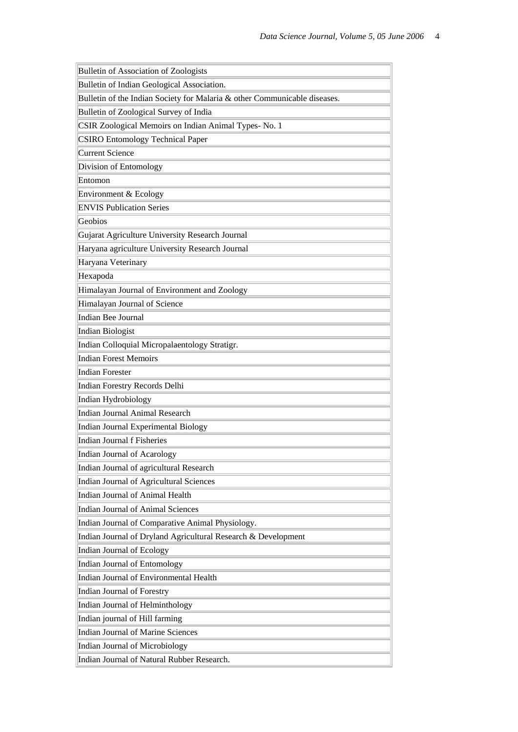| <b>Bulletin of Association of Zoologists</b>                              |
|---------------------------------------------------------------------------|
| Bulletin of Indian Geological Association.                                |
| Bulletin of the Indian Society for Malaria & other Communicable diseases. |
| Bulletin of Zoological Survey of India                                    |
| CSIR Zoological Memoirs on Indian Animal Types- No. 1                     |
| <b>CSIRO</b> Entomology Technical Paper                                   |
| <b>Current Science</b>                                                    |
| Division of Entomology                                                    |
| Entomon                                                                   |
| Environment & Ecology                                                     |
| <b>ENVIS Publication Series</b>                                           |
| Geobios                                                                   |
| Gujarat Agriculture University Research Journal                           |
| Haryana agriculture University Research Journal                           |
| Haryana Veterinary                                                        |
| Hexapoda                                                                  |
| Himalayan Journal of Environment and Zoology                              |
| Himalayan Journal of Science                                              |
| Indian Bee Journal                                                        |
| <b>Indian Biologist</b>                                                   |
| Indian Colloquial Micropalaentology Stratigr.                             |
| <b>Indian Forest Memoirs</b>                                              |
| <b>Indian Forester</b>                                                    |
| Indian Forestry Records Delhi                                             |
| Indian Hydrobiology                                                       |
| Indian Journal Animal Research                                            |
| Indian Journal Experimental Biology                                       |
| Indian Journal f Fisheries                                                |
| Indian Journal of Acarology                                               |
| Indian Journal of agricultural Research                                   |
| Indian Journal of Agricultural Sciences                                   |
| Indian Journal of Animal Health                                           |
| <b>Indian Journal of Animal Sciences</b>                                  |
| Indian Journal of Comparative Animal Physiology.                          |
| Indian Journal of Dryland Agricultural Research & Development             |
| Indian Journal of Ecology                                                 |
| Indian Journal of Entomology                                              |
| Indian Journal of Environmental Health                                    |
| Indian Journal of Forestry                                                |
| Indian Journal of Helminthology                                           |
| Indian journal of Hill farming                                            |
| Indian Journal of Marine Sciences                                         |
| Indian Journal of Microbiology                                            |
| Indian Journal of Natural Rubber Research.                                |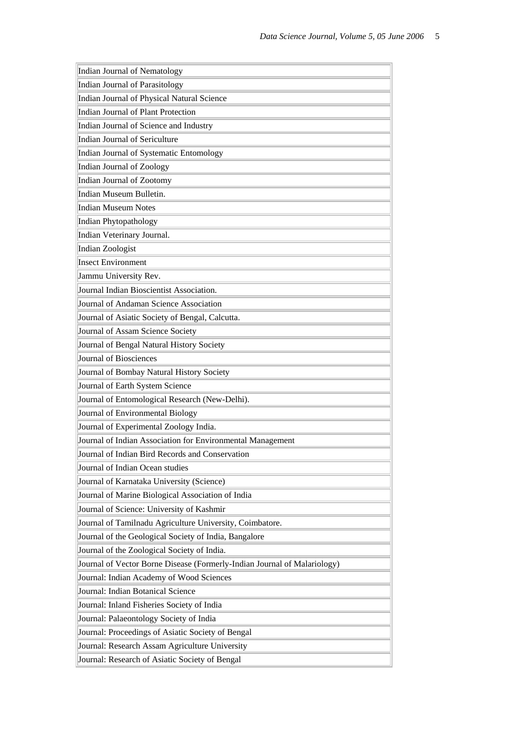| Indian Journal of Nematology                                             |
|--------------------------------------------------------------------------|
| Indian Journal of Parasitology                                           |
| Indian Journal of Physical Natural Science                               |
| Indian Journal of Plant Protection                                       |
| Indian Journal of Science and Industry                                   |
| Indian Journal of Sericulture                                            |
| Indian Journal of Systematic Entomology                                  |
| Indian Journal of Zoology                                                |
| Indian Journal of Zootomy                                                |
| Indian Museum Bulletin.                                                  |
| <b>Indian Museum Notes</b>                                               |
| Indian Phytopathology                                                    |
| Indian Veterinary Journal.                                               |
| <b>Indian Zoologist</b>                                                  |
| <b>Insect Environment</b>                                                |
| Jammu University Rev.                                                    |
| Journal Indian Bioscientist Association.                                 |
| Journal of Andaman Science Association                                   |
| Journal of Asiatic Society of Bengal, Calcutta.                          |
| Journal of Assam Science Society                                         |
| Journal of Bengal Natural History Society                                |
| Journal of Biosciences                                                   |
| Journal of Bombay Natural History Society                                |
| Journal of Earth System Science                                          |
| Journal of Entomological Research (New-Delhi).                           |
| Journal of Environmental Biology                                         |
| Journal of Experimental Zoology India.                                   |
| Journal of Indian Association for Environmental Management               |
| Journal of Indian Bird Records and Conservation                          |
| Journal of Indian Ocean studies                                          |
| Journal of Karnataka University (Science)                                |
| Journal of Marine Biological Association of India                        |
| Journal of Science: University of Kashmir                                |
| Journal of Tamilnadu Agriculture University, Coimbatore.                 |
| Journal of the Geological Society of India, Bangalore                    |
| Journal of the Zoological Society of India.                              |
| Journal of Vector Borne Disease (Formerly-Indian Journal of Malariology) |
| Journal: Indian Academy of Wood Sciences                                 |
| Journal: Indian Botanical Science                                        |
| Journal: Inland Fisheries Society of India                               |
| Journal: Palaeontology Society of India                                  |
| Journal: Proceedings of Asiatic Society of Bengal                        |
| Journal: Research Assam Agriculture University                           |
| Journal: Research of Asiatic Society of Bengal                           |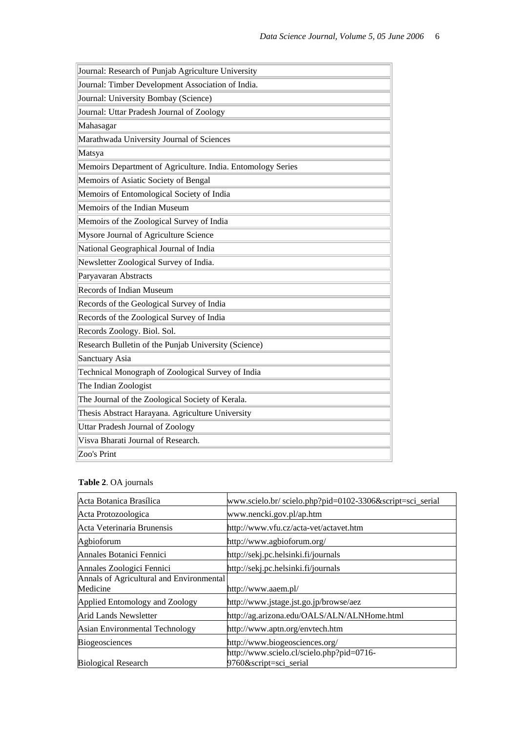| Journal: Research of Punjab Agriculture University          |  |  |  |
|-------------------------------------------------------------|--|--|--|
|                                                             |  |  |  |
| Journal: Timber Development Association of India.           |  |  |  |
| Journal: University Bombay (Science)                        |  |  |  |
| Journal: Uttar Pradesh Journal of Zoology                   |  |  |  |
| Mahasagar                                                   |  |  |  |
| Marathwada University Journal of Sciences                   |  |  |  |
| Matsya                                                      |  |  |  |
| Memoirs Department of Agriculture. India. Entomology Series |  |  |  |
| Memoirs of Asiatic Society of Bengal                        |  |  |  |
| Memoirs of Entomological Society of India                   |  |  |  |
| Memoirs of the Indian Museum                                |  |  |  |
| Memoirs of the Zoological Survey of India                   |  |  |  |
| Mysore Journal of Agriculture Science                       |  |  |  |
| National Geographical Journal of India                      |  |  |  |
| Newsletter Zoological Survey of India.                      |  |  |  |
| Paryavaran Abstracts                                        |  |  |  |
| Records of Indian Museum                                    |  |  |  |
| Records of the Geological Survey of India                   |  |  |  |
| Records of the Zoological Survey of India                   |  |  |  |
| Records Zoology. Biol. Sol.                                 |  |  |  |
| Research Bulletin of the Punjab University (Science)        |  |  |  |
| Sanctuary Asia                                              |  |  |  |
| Technical Monograph of Zoological Survey of India           |  |  |  |
| The Indian Zoologist                                        |  |  |  |
| The Journal of the Zoological Society of Kerala.            |  |  |  |
| Thesis Abstract Harayana. Agriculture University            |  |  |  |
| Uttar Pradesh Journal of Zoology                            |  |  |  |
| Visva Bharati Journal of Research.                          |  |  |  |
| Zoo's Print                                                 |  |  |  |

## **Table 2**. OA journals

| Acta Botanica Brasílica                  | www.scielo.br/scielo.php?pid=0102-3306&script=sci_serial |
|------------------------------------------|----------------------------------------------------------|
| Acta Protozoologica                      | www.nencki.gov.pl/ap.htm                                 |
| Acta Veterinaria Brunensis               | http://www.vfu.cz/acta-vet/actavet.htm                   |
| Agbioforum                               | http://www.agbioforum.org/                               |
| Annales Botanici Fennici                 | http://sekj.pc.helsinki.fi/journals                      |
| Annales Zoologici Fennici                | http://sekj.pc.helsinki.fi/journals                      |
| Annals of Agricultural and Environmental |                                                          |
| Medicine                                 | http://www.aaem.pl/                                      |
| Applied Entomology and Zoology           | http://www.jstage.jst.go.jp/browse/aez                   |
| Arid Lands Newsletter                    | http://ag.arizona.edu/OALS/ALN/ALNHome.html              |
| Asian Environmental Technology           | http://www.aptn.org/envtech.htm                          |
| <b>Biogeosciences</b>                    | http://www.biogeosciences.org/                           |
|                                          | http://www.scielo.cl/scielo.php?pid=0716-                |
| <b>Biological Research</b>               | 9760&script=sci_serial                                   |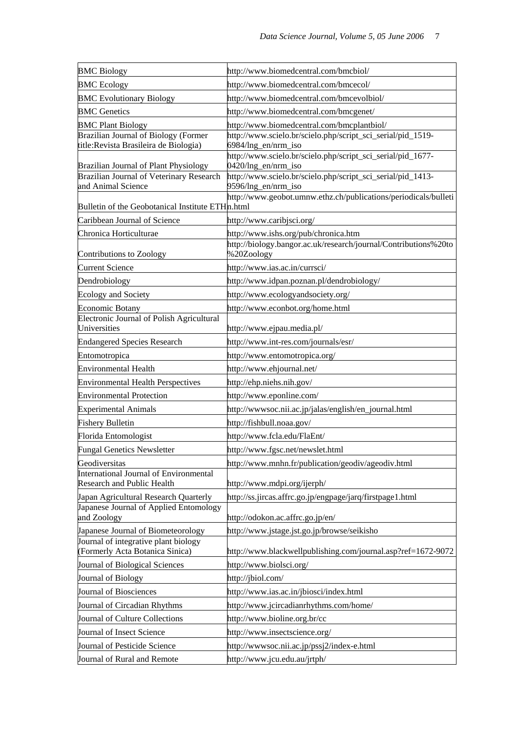| <b>BMC Biology</b>                                        | http://www.biomedcentral.com/bmcbiol/                                                  |
|-----------------------------------------------------------|----------------------------------------------------------------------------------------|
| <b>BMC</b> Ecology                                        | http://www.biomedcentral.com/bmcecol/                                                  |
| <b>BMC Evolutionary Biology</b>                           | http://www.biomedcentral.com/bmcevolbiol/                                              |
| <b>BMC</b> Genetics                                       | http://www.biomedcentral.com/bmcgenet/                                                 |
| <b>BMC Plant Biology</b>                                  | http://www.biomedcentral.com/bmcplantbiol/                                             |
| Brazilian Journal of Biology (Former                      | http://www.scielo.br/scielo.php/script_sci_serial/pid_1519-                            |
| title: Revista Brasileira de Biologia)                    | 6984/lng_en/nrm_iso<br>http://www.scielo.br/scielo.php/script_sci_serial/pid_1677-     |
| Brazilian Journal of Plant Physiology                     | 0420/lng_en/nrm_iso                                                                    |
| Brazilian Journal of Veterinary Research                  | http://www.scielo.br/scielo.php/script_sci_serial/pid_1413-                            |
| and Animal Science                                        | 9596/lng_en/nrm_iso<br>http://www.geobot.umnw.ethz.ch/publications/periodicals/bulleti |
| Bulletin of the Geobotanical Institute ETHn.html          |                                                                                        |
| Caribbean Journal of Science                              | http://www.caribjsci.org/                                                              |
| Chronica Horticulturae                                    | http://www.ishs.org/pub/chronica.htm                                                   |
|                                                           | http://biology.bangor.ac.uk/research/journal/Contributions%20to                        |
| Contributions to Zoology                                  | %20Zoology                                                                             |
| <b>Current Science</b>                                    | http://www.ias.ac.in/currsci/                                                          |
| Dendrobiology                                             | http://www.idpan.poznan.pl/dendrobiology/                                              |
| <b>Ecology and Society</b>                                | http://www.ecologyandsociety.org/                                                      |
| <b>Economic Botany</b>                                    | http://www.econbot.org/home.html                                                       |
| Electronic Journal of Polish Agricultural<br>Universities | http://www.ejpau.media.pl/                                                             |
| <b>Endangered Species Research</b>                        | http://www.int-res.com/journals/esr/                                                   |
| Entomotropica                                             | http://www.entomotropica.org/                                                          |
| <b>Environmental Health</b>                               | http://www.ehjournal.net/                                                              |
| <b>Environmental Health Perspectives</b>                  | http://ehp.niehs.nih.gov/                                                              |
| <b>Environmental Protection</b>                           | http://www.eponline.com/                                                               |
| <b>Experimental Animals</b>                               | http://wwwsoc.nii.ac.jp/jalas/english/en_journal.html                                  |
| <b>Fishery Bulletin</b>                                   | http://fishbull.noaa.gov/                                                              |
| Florida Entomologist                                      | http://www.fcla.edu/FlaEnt/                                                            |
| <b>Fungal Genetics Newsletter</b>                         | http://www.fgsc.net/newslet.html                                                       |
| Geodiversitas                                             | http://www.mnhn.fr/publication/geodiv/ageodiv.html                                     |
| <b>International Journal of Environmental</b>             |                                                                                        |
| <b>Research and Public Health</b>                         | http://www.mdpi.org/ijerph/                                                            |
| Japan Agricultural Research Quarterly                     | http://ss.jircas.affrc.go.jp/engpage/jarq/firstpage1.html                              |
| Japanese Journal of Applied Entomology<br>and Zoology     | http://odokon.ac.affrc.go.jp/en/                                                       |
| Japanese Journal of Biometeorology                        | http://www.jstage.jst.go.jp/browse/seikisho                                            |
| Journal of integrative plant biology                      |                                                                                        |
| (Formerly Acta Botanica Sinica)                           | http://www.blackwellpublishing.com/journal.asp?ref=1672-9072                           |
| Journal of Biological Sciences                            | http://www.biolsci.org/                                                                |
| Journal of Biology                                        | http://jbiol.com/                                                                      |
| Journal of Biosciences                                    | http://www.ias.ac.in/jbiosci/index.html                                                |
| Journal of Circadian Rhythms                              | http://www.jcircadianrhythms.com/home/                                                 |
| Journal of Culture Collections                            | http://www.bioline.org.br/cc                                                           |
| Journal of Insect Science                                 | http://www.insectscience.org/                                                          |
| Journal of Pesticide Science                              | http://wwwsoc.nii.ac.jp/pssj2/index-e.html                                             |
| Journal of Rural and Remote                               | http://www.jcu.edu.au/jrtph/                                                           |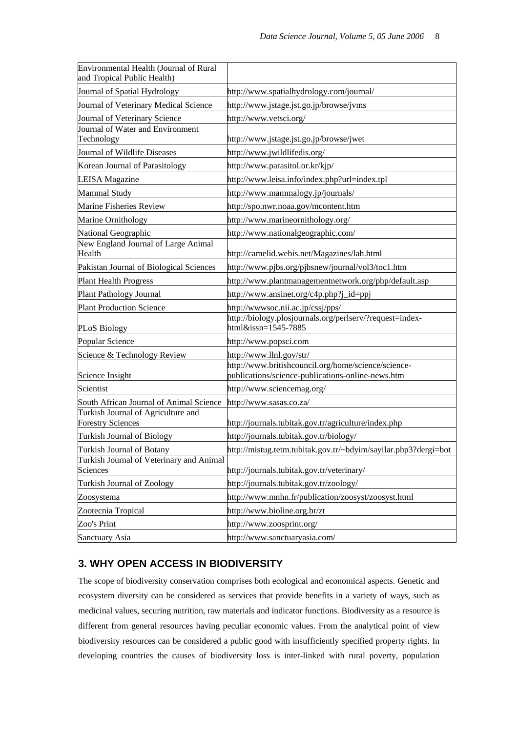| Environmental Health (Journal of Rural<br>and Tropical Public Health) |                                                                                                          |
|-----------------------------------------------------------------------|----------------------------------------------------------------------------------------------------------|
| Journal of Spatial Hydrology                                          | http://www.spatialhydrology.com/journal/                                                                 |
| Journal of Veterinary Medical Science                                 | http://www.jstage.jst.go.jp/browse/jvms                                                                  |
| Journal of Veterinary Science                                         | http://www.vetsci.org/                                                                                   |
| Journal of Water and Environment<br>Technology                        | http://www.jstage.jst.go.jp/browse/jwet                                                                  |
| Journal of Wildlife Diseases                                          | http://www.jwildlifedis.org/                                                                             |
| Korean Journal of Parasitology                                        | http://www.parasitol.or.kr/kjp/                                                                          |
| <b>LEISA</b> Magazine                                                 | http://www.leisa.info/index.php?url=index.tpl                                                            |
| Mammal Study                                                          | http://www.mammalogy.jp/journals/                                                                        |
| Marine Fisheries Review                                               | http://spo.nwr.noaa.gov/mcontent.htm                                                                     |
| Marine Ornithology                                                    | http://www.marineornithology.org/                                                                        |
| National Geographic                                                   | http://www.nationalgeographic.com/                                                                       |
| New England Journal of Large Animal<br>Health                         | http://camelid.webis.net/Magazines/lah.html                                                              |
| Pakistan Journal of Biological Sciences                               | http://www.pjbs.org/pjbsnew/journal/vol3/toc1.htm                                                        |
| <b>Plant Health Progress</b>                                          | http://www.plantmanagementnetwork.org/php/default.asp                                                    |
| Plant Pathology Journal                                               | http://www.ansinet.org/c4p.php?j_id=ppj                                                                  |
| <b>Plant Production Science</b>                                       | http://wwwsoc.nii.ac.jp/cssj/pps/                                                                        |
| PLoS Biology                                                          | http://biology.plosjournals.org/perlserv/?request=index-<br>html&issn=1545-7885                          |
| Popular Science                                                       | http://www.popsci.com                                                                                    |
| Science & Technology Review                                           | http://www.llnl.gov/str/                                                                                 |
| Science Insight                                                       | http://www.britishcouncil.org/home/science/science-<br>publications/science-publications-online-news.htm |
| Scientist                                                             | http://www.sciencemag.org/                                                                               |
| South African Journal of Animal Science                               | http://www.sasas.co.za/                                                                                  |
| Turkish Journal of Agriculture and<br><b>Forestry Sciences</b>        | http://journals.tubitak.gov.tr/agriculture/index.php                                                     |
| Turkish Journal of Biology                                            | http://journals.tubitak.gov.tr/biology/                                                                  |
| Turkish Journal of Botany                                             | http://mistug.tetm.tubitak.gov.tr/~bdvim/savilar.php3?dergi=bot                                          |
| Turkish Journal of Veterinary and Animal<br>Sciences                  | http://journals.tubitak.gov.tr/veterinary/                                                               |
| Turkish Journal of Zoology                                            | http://journals.tubitak.gov.tr/zoology/                                                                  |
| Zoosystema                                                            | http://www.mnhn.fr/publication/zoosyst/zoosyst.html                                                      |
| Zootecnia Tropical                                                    | http://www.bioline.org.br/zt                                                                             |
| Zoo's Print                                                           | http://www.zoosprint.org/                                                                                |
| Sanctuary Asia                                                        | http://www.sanctuaryasia.com/                                                                            |

## **3. WHY OPEN ACCESS IN BIODIVERSITY**

The scope of biodiversity conservation comprises both ecological and economical aspects. Genetic and ecosystem diversity can be considered as services that provide benefits in a variety of ways, such as medicinal values, securing nutrition, raw materials and indicator functions. Biodiversity as a resource is different from general resources having peculiar economic values. From the analytical point of view biodiversity resources can be considered a public good with insufficiently specified property rights. In developing countries the causes of biodiversity loss is inter-linked with rural poverty, population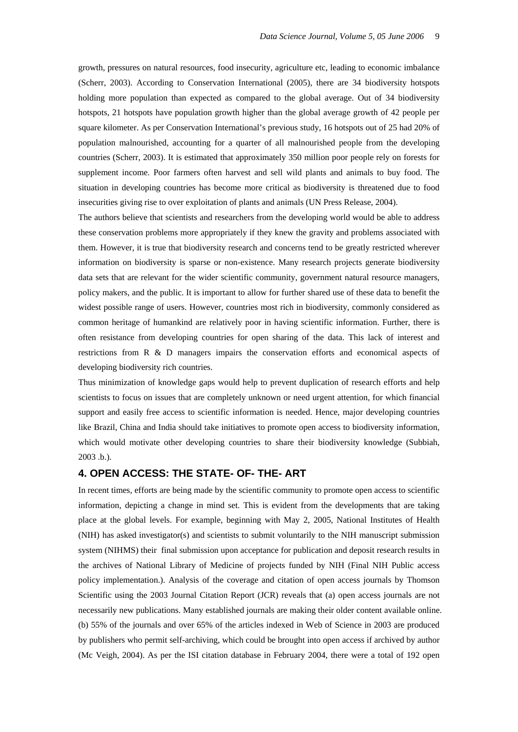growth, pressures on natural resources, food insecurity, agriculture etc, leading to economic imbalance (Scherr, 2003). According to Conservation International (2005), there are 34 biodiversity hotspots holding more population than expected as compared to the global average. Out of 34 biodiversity hotspots, 21 hotspots have population growth higher than the global average growth of 42 people per square kilometer. As per Conservation International's previous study, 16 hotspots out of 25 had 20% of population malnourished, accounting for a quarter of all malnourished people from the developing countries (Scherr, 2003). It is estimated that approximately 350 million poor people rely on forests for supplement income. Poor farmers often harvest and sell wild plants and animals to buy food. The situation in developing countries has become more critical as biodiversity is threatened due to food insecurities giving rise to over exploitation of plants and animals (UN Press Release, 2004).

The authors believe that scientists and researchers from the developing world would be able to address these conservation problems more appropriately if they knew the gravity and problems associated with them. However, it is true that biodiversity research and concerns tend to be greatly restricted wherever information on biodiversity is sparse or non-existence. Many research projects generate biodiversity data sets that are relevant for the wider scientific community, government natural resource managers, policy makers, and the public. It is important to allow for further shared use of these data to benefit the widest possible range of users. However, countries most rich in biodiversity, commonly considered as common heritage of humankind are relatively poor in having scientific information. Further, there is often resistance from developing countries for open sharing of the data. This lack of interest and restrictions from R & D managers impairs the conservation efforts and economical aspects of developing biodiversity rich countries.

Thus minimization of knowledge gaps would help to prevent duplication of research efforts and help scientists to focus on issues that are completely unknown or need urgent attention, for which financial support and easily free access to scientific information is needed. Hence, major developing countries like Brazil, China and India should take initiatives to promote open access to biodiversity information, which would motivate other developing countries to share their biodiversity knowledge (Subbiah, 2003 .b.).

### **4. OPEN ACCESS: THE STATE- OF- THE- ART**

In recent times, efforts are being made by the scientific community to promote open access to scientific information, depicting a change in mind set. This is evident from the developments that are taking place at the global levels. For example, beginning with May 2, 2005, National Institutes of Health (NIH) has asked investigator(s) and scientists to submit voluntarily to the NIH manuscript submission system (NIHMS) their final submission upon acceptance for publication and deposit research results in the archives of National Library of Medicine of projects funded by NIH (Final NIH Public access policy implementation.). Analysis of the coverage and citation of open access journals by Thomson Scientific using the 2003 Journal Citation Report (JCR) reveals that (a) open access journals are not necessarily new publications. Many established journals are making their older content available online. (b) 55% of the journals and over 65% of the articles indexed in Web of Science in 2003 are produced by publishers who permit self-archiving, which could be brought into open access if archived by author (Mc Veigh, 2004). As per the ISI citation database in February 2004, there were a total of 192 open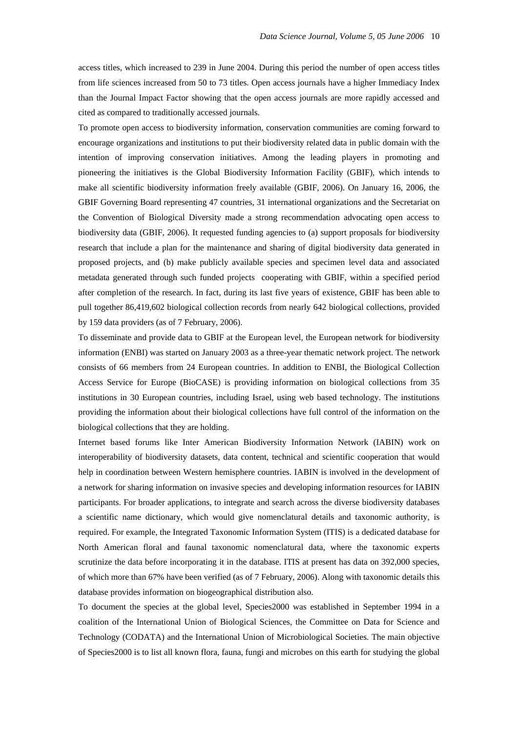access titles, which increased to 239 in June 2004. During this period the number of open access titles from life sciences increased from 50 to 73 titles. Open access journals have a higher Immediacy Index than the Journal Impact Factor showing that the open access journals are more rapidly accessed and cited as compared to traditionally accessed journals.

To promote open access to biodiversity information, conservation communities are coming forward to encourage organizations and institutions to put their biodiversity related data in public domain with the intention of improving conservation initiatives. Among the leading players in promoting and pioneering the initiatives is the Global Biodiversity Information Facility (GBIF), which intends to make all scientific biodiversity information freely available (GBIF, 2006). On January 16, 2006, the GBIF Governing Board representing 47 countries, 31 international organizations and the Secretariat on the Convention of Biological Diversity made a strong recommendation advocating open access to biodiversity data (GBIF, 2006). It requested funding agencies to (a) support proposals for biodiversity research that include a plan for the maintenance and sharing of digital biodiversity data generated in proposed projects, and (b) make publicly available species and specimen level data and associated metadata generated through such funded projects cooperating with GBIF, within a specified period after completion of the research. In fact, during its last five years of existence, GBIF has been able to pull together 86,419,602 biological collection records from nearly 642 biological collections, provided by 159 data providers (as of 7 February, 2006).

To disseminate and provide data to GBIF at the European level, the European network for biodiversity information (ENBI) was started on January 2003 as a three-year thematic network project. The network consists of 66 members from 24 European countries. In addition to ENBI, the Biological Collection Access Service for Europe (BioCASE) is providing information on biological collections from 35 institutions in 30 European countries, including Israel, using web based technology. The institutions providing the information about their biological collections have full control of the information on the biological collections that they are holding.

Internet based forums like Inter American Biodiversity Information Network (IABIN) work on interoperability of biodiversity datasets, data content, technical and scientific cooperation that would help in coordination between Western hemisphere countries. IABIN is involved in the development of a network for sharing information on invasive species and developing information resources for IABIN participants. For broader applications, to integrate and search across the diverse biodiversity databases a scientific name dictionary, which would give nomenclatural details and taxonomic authority, is required. For example, the Integrated Taxonomic Information System (ITIS) is a dedicated database for North American floral and faunal taxonomic nomenclatural data, where the taxonomic experts scrutinize the data before incorporating it in the database. ITIS at present has data on 392,000 species, of which more than 67% have been verified (as of 7 February, 2006). Along with taxonomic details this database provides information on biogeographical distribution also.

To document the species at the global level, Species2000 was established in September 1994 in a coalition of the International Union of Biological Sciences, the Committee on Data for Science and Technology (CODATA) and the International Union of Microbiological Societies. The main objective of Species2000 is to list all known flora, fauna, fungi and microbes on this earth for studying the global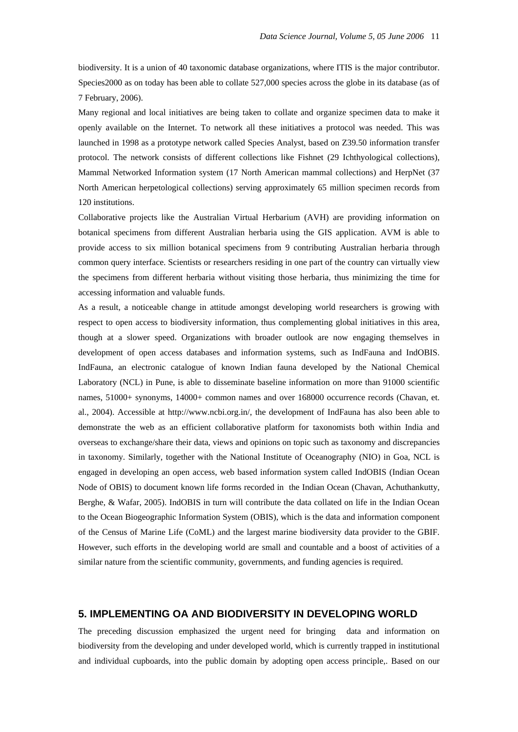biodiversity. It is a union of 40 taxonomic database organizations, where ITIS is the major contributor. Species2000 as on today has been able to collate 527,000 species across the globe in its database (as of 7 February, 2006).

Many regional and local initiatives are being taken to collate and organize specimen data to make it openly available on the Internet. To network all these initiatives a protocol was needed. This was launched in 1998 as a prototype network called Species Analyst, based on Z39.50 information transfer protocol. The network consists of different collections like Fishnet (29 Ichthyological collections), Mammal Networked Information system (17 North American mammal collections) and HerpNet (37 North American herpetological collections) serving approximately 65 million specimen records from 120 institutions.

Collaborative projects like the Australian Virtual Herbarium (AVH) are providing information on botanical specimens from different Australian herbaria using the GIS application. AVM is able to provide access to six million botanical specimens from 9 contributing Australian herbaria through common query interface. Scientists or researchers residing in one part of the country can virtually view the specimens from different herbaria without visiting those herbaria, thus minimizing the time for accessing information and valuable funds.

As a result, a noticeable change in attitude amongst developing world researchers is growing with respect to open access to biodiversity information, thus complementing global initiatives in this area, though at a slower speed. Organizations with broader outlook are now engaging themselves in development of open access databases and information systems, such as IndFauna and IndOBIS. IndFauna, an electronic catalogue of known Indian fauna developed by the National Chemical Laboratory (NCL) in Pune, is able to disseminate baseline information on more than 91000 scientific names, 51000+ synonyms, 14000+ common names and over 168000 occurrence records (Chavan, et. al., 2004). Accessible at http://www.ncbi.org.in/, the development of IndFauna has also been able to demonstrate the web as an efficient collaborative platform for taxonomists both within India and overseas to exchange/share their data, views and opinions on topic such as taxonomy and discrepancies in taxonomy. Similarly, together with the National Institute of Oceanography (NIO) in Goa, NCL is engaged in developing an open access, web based information system called IndOBIS (Indian Ocean Node of OBIS) to document known life forms recorded in the Indian Ocean (Chavan, Achuthankutty, Berghe, & Wafar, 2005). IndOBIS in turn will contribute the data collated on life in the Indian Ocean to the Ocean Biogeographic Information System (OBIS), which is the data and information component of the Census of Marine Life (CoML) and the largest marine biodiversity data provider to the GBIF. However, such efforts in the developing world are small and countable and a boost of activities of a similar nature from the scientific community, governments, and funding agencies is required.

## **5. IMPLEMENTING OA AND BIODIVERSITY IN DEVELOPING WORLD**

The preceding discussion emphasized the urgent need for bringing data and information on biodiversity from the developing and under developed world, which is currently trapped in institutional and individual cupboards, into the public domain by adopting open access principle,. Based on our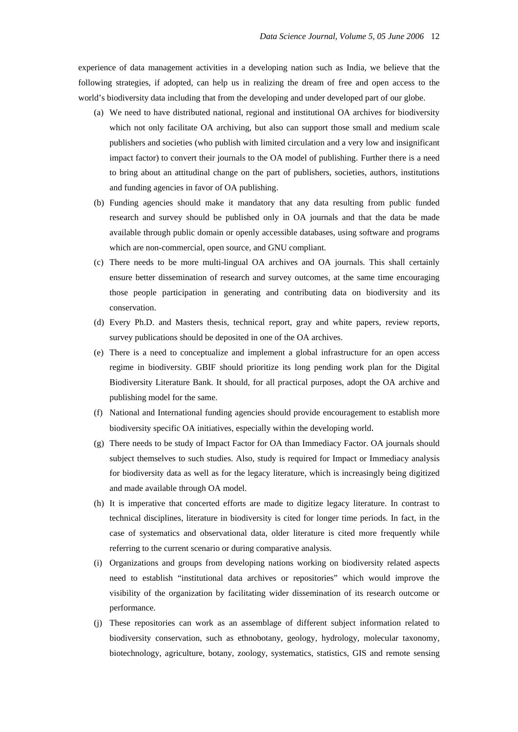experience of data management activities in a developing nation such as India, we believe that the following strategies, if adopted, can help us in realizing the dream of free and open access to the world's biodiversity data including that from the developing and under developed part of our globe.

- (a) We need to have distributed national, regional and institutional OA archives for biodiversity which not only facilitate OA archiving, but also can support those small and medium scale publishers and societies (who publish with limited circulation and a very low and insignificant impact factor) to convert their journals to the OA model of publishing. Further there is a need to bring about an attitudinal change on the part of publishers, societies, authors, institutions and funding agencies in favor of OA publishing.
- (b) Funding agencies should make it mandatory that any data resulting from public funded research and survey should be published only in OA journals and that the data be made available through public domain or openly accessible databases, using software and programs which are non-commercial, open source, and GNU compliant.
- (c) There needs to be more multi-lingual OA archives and OA journals. This shall certainly ensure better dissemination of research and survey outcomes, at the same time encouraging those people participation in generating and contributing data on biodiversity and its conservation.
- (d) Every Ph.D. and Masters thesis, technical report, gray and white papers, review reports, survey publications should be deposited in one of the OA archives.
- (e) There is a need to conceptualize and implement a global infrastructure for an open access regime in biodiversity. GBIF should prioritize its long pending work plan for the Digital Biodiversity Literature Bank. It should, for all practical purposes, adopt the OA archive and publishing model for the same.
- (f) National and International funding agencies should provide encouragement to establish more biodiversity specific OA initiatives, especially within the developing world.
- (g) There needs to be study of Impact Factor for OA than Immediacy Factor. OA journals should subject themselves to such studies. Also, study is required for Impact or Immediacy analysis for biodiversity data as well as for the legacy literature, which is increasingly being digitized and made available through OA model.
- (h) It is imperative that concerted efforts are made to digitize legacy literature. In contrast to technical disciplines, literature in biodiversity is cited for longer time periods. In fact, in the case of systematics and observational data, older literature is cited more frequently while referring to the current scenario or during comparative analysis.
- (i) Organizations and groups from developing nations working on biodiversity related aspects need to establish "institutional data archives or repositories" which would improve the visibility of the organization by facilitating wider dissemination of its research outcome or performance.
- (j) These repositories can work as an assemblage of different subject information related to biodiversity conservation, such as ethnobotany, geology, hydrology, molecular taxonomy, biotechnology, agriculture, botany, zoology, systematics, statistics, GIS and remote sensing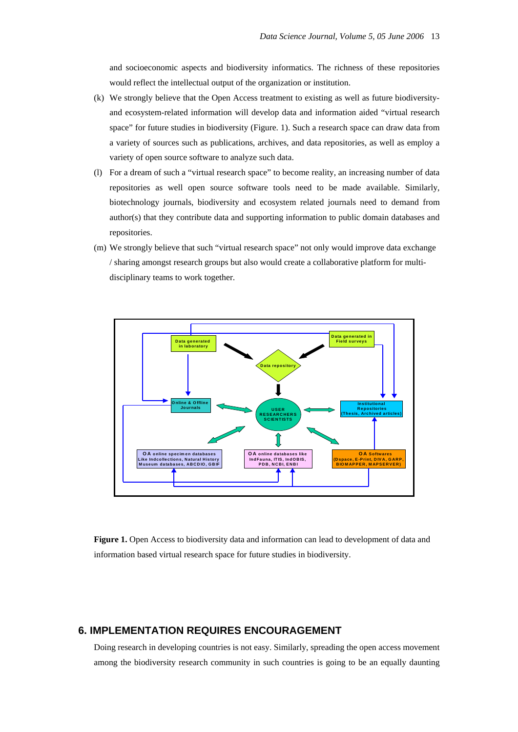and socioeconomic aspects and biodiversity informatics. The richness of these repositories would reflect the intellectual output of the organization or institution.

- (k) We strongly believe that the Open Access treatment to existing as well as future biodiversityand ecosystem-related information will develop data and information aided "virtual research space" for future studies in biodiversity (Figure. 1). Such a research space can draw data from a variety of sources such as publications, archives, and data repositories, as well as employ a variety of open source software to analyze such data.
- (l) For a dream of such a "virtual research space" to become reality, an increasing number of data repositories as well open source software tools need to be made available. Similarly, biotechnology journals, biodiversity and ecosystem related journals need to demand from author(s) that they contribute data and supporting information to public domain databases and repositories.
- (m) We strongly believe that such "virtual research space" not only would improve data exchange / sharing amongst research groups but also would create a collaborative platform for multidisciplinary teams to work together.



**Figure 1.** Open Access to biodiversity data and information can lead to development of data and information based virtual research space for future studies in biodiversity.

## **6. IMPLEMENTATION REQUIRES ENCOURAGEMENT**

Doing research in developing countries is not easy. Similarly, spreading the open access movement among the biodiversity research community in such countries is going to be an equally daunting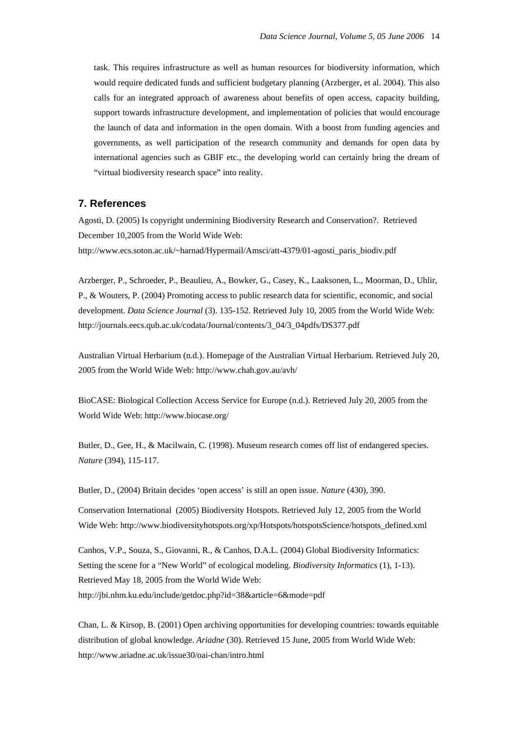task. This requires infrastructure as well as human resources for biodiversity information, which would require dedicated funds and sufficient budgetary planning (Arzberger, et al. 2004). This also calls for an integrated approach of awareness about benefits of open access, capacity building, support towards infrastructure development, and implementation of policies that would encourage the launch of data and information in the open domain. With a boost from funding agencies and governments, as well participation of the research community and demands for open data by international agencies such as GBIF etc., the developing world can certainly bring the dream of "virtual biodiversity research space" into reality.

## **7. References**

Agosti, D. (2005) Is copyright undermining Biodiversity Research and Conservation?. Retrieved December 10,2005 from the World Wide Web:

http://www.ecs.soton.ac.uk/~harnad/Hypermail/Amsci/att-4379/01-agosti\_paris\_biodiv.pdf

Arzberger, P., Schroeder, P., Beaulieu, A., Bowker, G., Casey, K., Laaksonen, L., Moorman, D., Uhlir, P., & Wouters, P. (2004) Promoting access to public research data for scientific, economic, and social development. *Data Science Journal* (3). 135-152. Retrieved July 10, 2005 from the World Wide Web: http://journals.eecs.qub.ac.uk/codata/Journal/contents/3\_04/3\_04pdfs/DS377.pdf

Australian Virtual Herbarium (n.d.). Homepage of the Australian Virtual Herbarium. Retrieved July 20, 2005 from the World Wide Web: http://www.chah.gov.au/avh/

BioCASE: Biological Collection Access Service for Europe (n.d.). Retrieved July 20, 2005 from the World Wide Web: http://www.biocase.org/

Butler, D., Gee, H., & Macilwain, C. (1998). Museum research comes off list of endangered species. *Nature* (394), 115-117.

Butler, D., (2004) Britain decides 'open access' is still an open issue. *Nature* (430), 390.

Conservation International (2005) Biodiversity Hotspots. Retrieved July 12, 2005 from the World Wide Web: http://www.biodiversityhotspots.org/xp/Hotspots/hotspotsScience/hotspots\_defined.xml

Canhos, V.P., Souza, S., Giovanni, R., & Canhos, D.A.L. (2004) Global Biodiversity Informatics: Setting the scene for a "New World" of ecological modeling. *Biodiversity Informatics* (1), 1-13). Retrieved May 18, 2005 from the World Wide Web: http://jbi.nhm.ku.edu/include/getdoc.php?id=38&article=6&mode=pdf

Chan, L. & Kirsop, B. (2001) Open archiving opportunities for developing countries: towards equitable distribution of global knowledge. *Ariadne* (30). Retrieved 15 June, 2005 from World Wide Web: http://www.ariadne.ac.uk/issue30/oai-chan/intro.html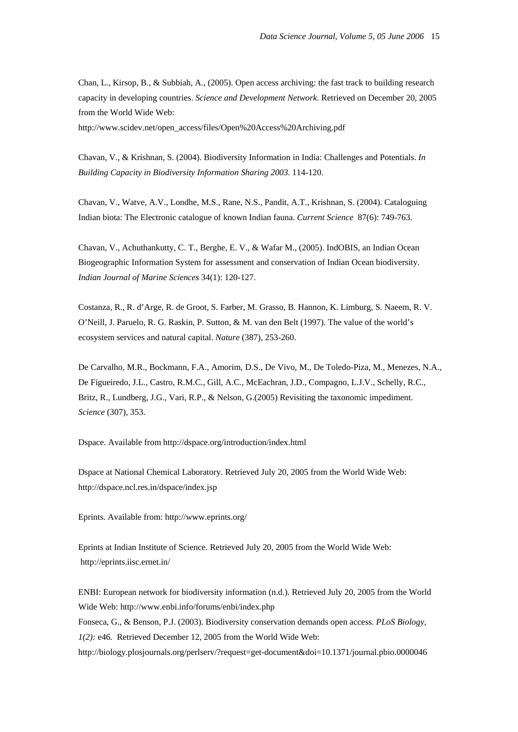Chan, L., Kirsop, B., & Subbiah, A., (2005). Open access archiving: the fast track to building research capacity in developing countries. *Science and Development Network*. Retrieved on December 20, 2005 from the World Wide Web:

http://www.scidev.net/open\_access/files/Open%20Access%20Archiving.pdf

Chavan, V., & Krishnan, S. (2004). Biodiversity Information in India: Challenges and Potentials. *In Building Capacity in Biodiversity Information Sharing 2003*. 114-120.

Chavan, V., Watve, A.V., Londhe, M.S., Rane, N.S., Pandit, A.T., Krishnan, S. (2004). Cataloguing Indian biota: The Electronic catalogue of known Indian fauna. *Current Science* 87(6): 749-763.

Chavan, V., Achuthankutty, C. T., Berghe, E. V., & Wafar M., (2005). IndOBIS, an Indian Ocean Biogeographic Information System for assessment and conservation of Indian Ocean biodiversity. *Indian Journal of Marine Sciences* 34(1): 120-127.

Costanza, R., R. d'Arge, R. de Groot, S. Farber, M. Grasso, B. Hannon, K. Limburg, S. Naeem, R. V. O'Neill, J. Paruelo, R. G. Raskin, P. Sutton, & M. van den Belt (1997). The value of the world's ecosystem services and natural capital. *Nature* (387), 253-260.

De Carvalho, M.R., Bockmann, F.A., Amorim, D.S., De Vivo, M., De Toledo-Piza, M., Menezes, N.A., De Figueiredo, J.L., Castro, R.M.C., Gill, A.C., McEachran, J.D., Compagno, L.J.V., Schelly, R.C., Britz, R., Lundberg, J.G., Vari, R.P., & Nelson, G.(2005) Revisiting the taxonomic impediment. *Science* (307), 353.

Dspace. Available from http://dspace.org/introduction/index.html

Dspace at National Chemical Laboratory. Retrieved July 20, 2005 from the World Wide Web: http://dspace.ncl.res.in/dspace/index.jsp

Eprints. Available from: http://www.eprints.org/

Eprints at Indian Institute of Science. Retrieved July 20, 2005 from the World Wide Web: http://eprints.iisc.ernet.in/

ENBI: European network for biodiversity information (n.d.). Retrieved July 20, 2005 from the World Wide Web: http://www.enbi.info/forums/enbi/index.php

Fonseca, G., & Benson, P.J. (2003). Biodiversity conservation demands open access. *PLoS Biology, 1(2):* e46*.* Retrieved December 12, 2005 from the World Wide Web:

http://biology.plosjournals.org/perlserv/?request=get-document&doi=10.1371/journal.pbio.0000046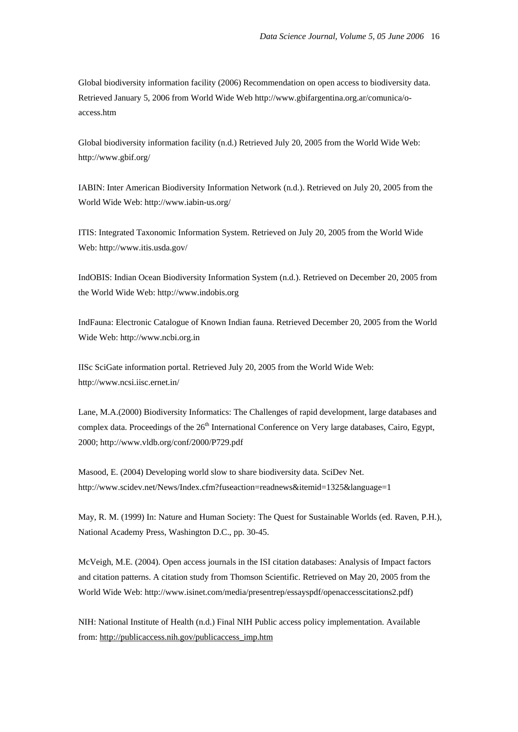Global biodiversity information facility (2006) Recommendation on open access to biodiversity data. Retrieved January 5, 2006 from World Wide Web http://www.gbifargentina.org.ar/comunica/oaccess.htm

Global biodiversity information facility (n.d.) Retrieved July 20, 2005 from the World Wide Web: http://www.gbif.org/

IABIN: Inter American Biodiversity Information Network (n.d.). Retrieved on July 20, 2005 from the World Wide Web: http://www.iabin-us.org/

ITIS: Integrated Taxonomic Information System. Retrieved on July 20, 2005 from the World Wide Web: http://www.itis.usda.gov/

IndOBIS: Indian Ocean Biodiversity Information System (n.d.). Retrieved on December 20, 2005 from the World Wide Web: http://www.indobis.org

IndFauna: Electronic Catalogue of Known Indian fauna. Retrieved December 20, 2005 from the World Wide Web: http://www.ncbi.org.in

IISc SciGate information portal. Retrieved July 20, 2005 from the World Wide Web: http://www.ncsi.iisc.ernet.in/

Lane, M.A.(2000) Biodiversity Informatics: The Challenges of rapid development, large databases and complex data. Proceedings of the 26<sup>th</sup> International Conference on Very large databases, Cairo, Egypt, 2000; http://www.vldb.org/conf/2000/P729.pdf

Masood, E. (2004) Developing world slow to share biodiversity data. SciDev Net. http://www.scidev.net/News/Index.cfm?fuseaction=readnews&itemid=1325&language=1

May, R. M. (1999) In: Nature and Human Society: The Quest for Sustainable Worlds (ed. Raven, P.H.), National Academy Press, Washington D.C., pp. 30-45.

McVeigh, M.E. (2004). Open access journals in the ISI citation databases: Analysis of Impact factors and citation patterns. A citation study from Thomson Scientific. Retrieved on May 20, 2005 from the World Wide Web: http://www.isinet.com/media/presentrep/essayspdf/openaccesscitations2.pdf)

NIH: National Institute of Health (n.d.) Final NIH Public access policy implementation. Available from: http://publicaccess.nih.gov/publicaccess\_imp.htm